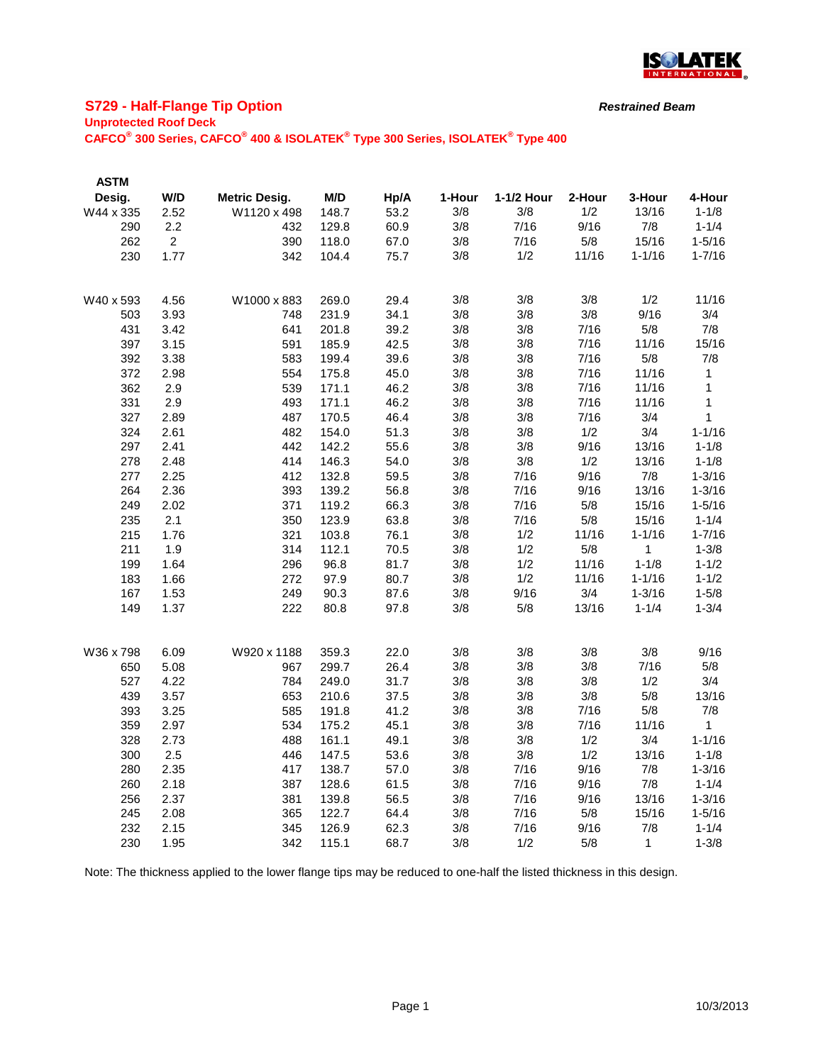

# **S729 - Half-Flange Tip Option**

#### **Unprotected Roof Deck**

**CAFCO® 300 Series, CAFCO® 400 & ISOLATEK® Type 300 Series, ISOLATEK® Type 400**

| <b>ASTM</b> |                |                      |       |      |        |            |        |            |             |
|-------------|----------------|----------------------|-------|------|--------|------------|--------|------------|-------------|
| Desig.      | W/D            | <b>Metric Desig.</b> | M/D   | Hp/A | 1-Hour | 1-1/2 Hour | 2-Hour | 3-Hour     | 4-Hour      |
| W44 x 335   | 2.52           | W1120 x 498          | 148.7 | 53.2 | 3/8    | 3/8        | 1/2    | 13/16      | $1 - 1/8$   |
| 290         | 2.2            | 432                  | 129.8 | 60.9 | 3/8    | 7/16       | 9/16   | 7/8        | $1 - 1/4$   |
| 262         | $\overline{2}$ | 390                  | 118.0 | 67.0 | 3/8    | 7/16       | 5/8    | 15/16      | $1 - 5/16$  |
| 230         | 1.77           | 342                  | 104.4 | 75.7 | 3/8    | 1/2        | 11/16  | $1 - 1/16$ | $1 - 7/16$  |
|             |                |                      |       |      |        |            |        |            |             |
| W40 x 593   | 4.56           | W1000 x 883          | 269.0 | 29.4 | 3/8    | 3/8        | 3/8    | 1/2        | 11/16       |
| 503         | 3.93           | 748                  | 231.9 | 34.1 | 3/8    | 3/8        | 3/8    | 9/16       | 3/4         |
| 431         | 3.42           | 641                  | 201.8 | 39.2 | 3/8    | 3/8        | 7/16   | 5/8        | 7/8         |
| 397         | 3.15           | 591                  | 185.9 | 42.5 | 3/8    | 3/8        | 7/16   | 11/16      | 15/16       |
| 392         | 3.38           | 583                  | 199.4 | 39.6 | 3/8    | 3/8        | 7/16   | 5/8        | 7/8         |
| 372         | 2.98           | 554                  | 175.8 | 45.0 | 3/8    | 3/8        | 7/16   | 11/16      | $\mathbf 1$ |
| 362         | 2.9            | 539                  | 171.1 | 46.2 | 3/8    | 3/8        | 7/16   | 11/16      | 1           |
| 331         | 2.9            | 493                  | 171.1 | 46.2 | 3/8    | 3/8        | 7/16   | 11/16      | 1           |
| 327         | 2.89           | 487                  | 170.5 | 46.4 | 3/8    | 3/8        | 7/16   | 3/4        | 1           |
| 324         | 2.61           | 482                  | 154.0 | 51.3 | 3/8    | 3/8        | 1/2    | 3/4        | $1 - 1/16$  |
| 297         | 2.41           | 442                  | 142.2 | 55.6 | 3/8    | 3/8        | 9/16   | 13/16      | $1 - 1/8$   |
| 278         | 2.48           | 414                  | 146.3 | 54.0 | 3/8    | 3/8        | 1/2    | 13/16      | $1 - 1/8$   |
| 277         | 2.25           | 412                  | 132.8 | 59.5 | 3/8    | 7/16       | 9/16   | 7/8        | $1 - 3/16$  |
| 264         | 2.36           | 393                  | 139.2 | 56.8 | 3/8    | 7/16       | 9/16   | 13/16      | $1 - 3/16$  |
| 249         | 2.02           | 371                  | 119.2 | 66.3 | 3/8    | 7/16       | 5/8    | 15/16      | $1 - 5/16$  |
| 235         | 2.1            | 350                  | 123.9 | 63.8 | 3/8    | 7/16       | 5/8    | 15/16      | $1 - 1/4$   |
| 215         | 1.76           | 321                  | 103.8 | 76.1 | 3/8    | 1/2        | 11/16  | $1 - 1/16$ | $1 - 7/16$  |
| 211         | 1.9            | 314                  | 112.1 | 70.5 | 3/8    | 1/2        | 5/8    | 1          | $1 - 3/8$   |
| 199         | 1.64           | 296                  | 96.8  | 81.7 | 3/8    | 1/2        | 11/16  | $1 - 1/8$  | $1 - 1/2$   |
| 183         | 1.66           | 272                  | 97.9  | 80.7 | 3/8    | 1/2        | 11/16  | $1 - 1/16$ | $1 - 1/2$   |
| 167         | 1.53           | 249                  | 90.3  | 87.6 | 3/8    | 9/16       | 3/4    | $1 - 3/16$ | $1 - 5/8$   |
| 149         | 1.37           | 222                  | 80.8  | 97.8 | 3/8    | 5/8        | 13/16  | $1 - 1/4$  | $1 - 3/4$   |
|             |                |                      |       |      |        |            |        |            |             |
| W36 x 798   | 6.09           | W920 x 1188          | 359.3 | 22.0 | 3/8    | 3/8        | 3/8    | 3/8        | 9/16        |
| 650         | 5.08           | 967                  | 299.7 | 26.4 | 3/8    | 3/8        | 3/8    | 7/16       | 5/8         |
| 527         | 4.22           | 784                  | 249.0 | 31.7 | 3/8    | 3/8        | 3/8    | 1/2        | 3/4         |
| 439         | 3.57           | 653                  | 210.6 | 37.5 | 3/8    | 3/8        | 3/8    | 5/8        | 13/16       |
| 393         | 3.25           | 585                  | 191.8 | 41.2 | 3/8    | 3/8        | 7/16   | 5/8        | 7/8         |
| 359         | 2.97           | 534                  | 175.2 | 45.1 | 3/8    | 3/8        | 7/16   | 11/16      | $\mathbf 1$ |
| 328         | 2.73           | 488                  | 161.1 | 49.1 | 3/8    | 3/8        | 1/2    | 3/4        | $1 - 1/16$  |
| 300         | 2.5            | 446                  | 147.5 | 53.6 | 3/8    | 3/8        | 1/2    | 13/16      | $1 - 1/8$   |
| 280         | 2.35           | 417                  | 138.7 | 57.0 | 3/8    | 7/16       | 9/16   | 7/8        | $1 - 3/16$  |
| 260         | 2.18           | 387                  | 128.6 | 61.5 | 3/8    | 7/16       | 9/16   | 7/8        | $1 - 1/4$   |
| 256         | 2.37           | 381                  | 139.8 | 56.5 | 3/8    | 7/16       | 9/16   | 13/16      | $1 - 3/16$  |
| 245         | 2.08           | 365                  | 122.7 | 64.4 | 3/8    | 7/16       | 5/8    | 15/16      | $1 - 5/16$  |
| 232         | 2.15           | 345                  | 126.9 | 62.3 | 3/8    | 7/16       | 9/16   | 7/8        | $1 - 1/4$   |
| 230         | 1.95           | 342                  | 115.1 | 68.7 | 3/8    | 1/2        | 5/8    | 1          | $1 - 3/8$   |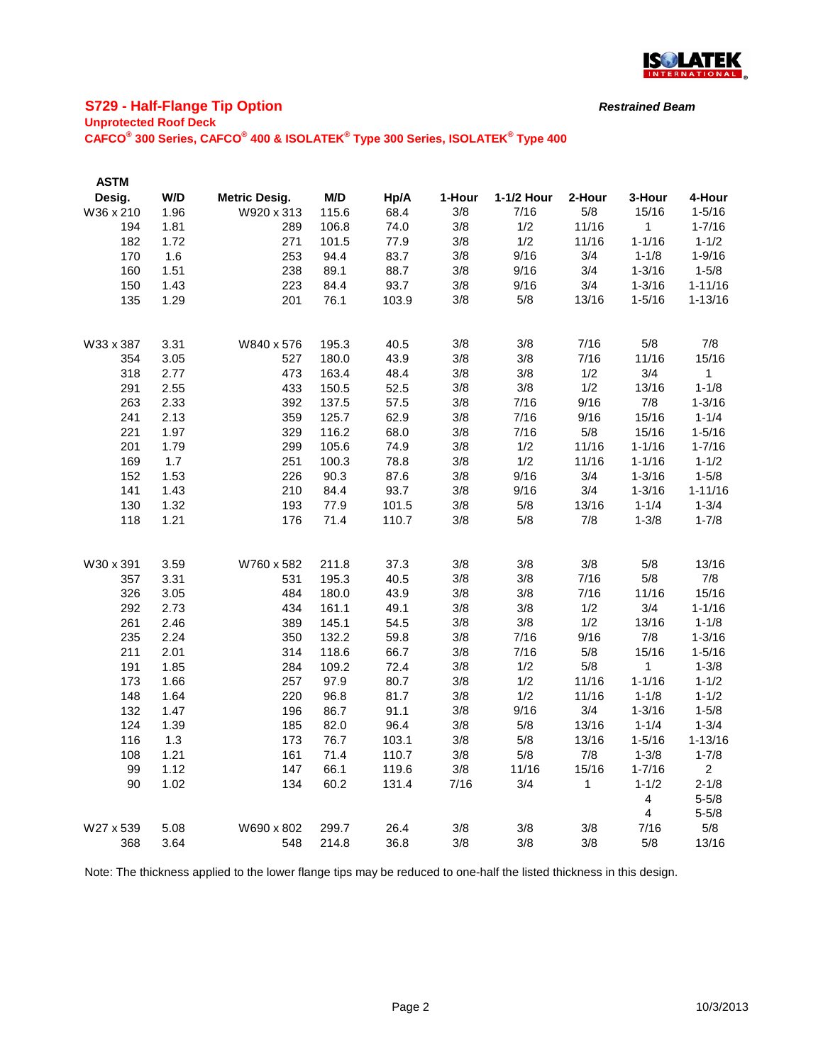

# **S729 - Half-Flange Tip Option**

### **Unprotected Roof Deck**

**CAFCO® 300 Series, CAFCO® 400 & ISOLATEK® Type 300 Series, ISOLATEK® Type 400**

| <b>ASTM</b> |      |                      |       |       |        |            |        |                         |                |
|-------------|------|----------------------|-------|-------|--------|------------|--------|-------------------------|----------------|
| Desig.      | W/D  | <b>Metric Desig.</b> | M/D   | Hp/A  | 1-Hour | 1-1/2 Hour | 2-Hour | 3-Hour                  | 4-Hour         |
| W36 x 210   | 1.96 | W920 x 313           | 115.6 | 68.4  | 3/8    | 7/16       | 5/8    | 15/16                   | $1 - 5/16$     |
| 194         | 1.81 | 289                  | 106.8 | 74.0  | 3/8    | 1/2        | 11/16  | 1                       | $1 - 7/16$     |
| 182         | 1.72 | 271                  | 101.5 | 77.9  | 3/8    | 1/2        | 11/16  | $1 - 1/16$              | $1 - 1/2$      |
| 170         | 1.6  | 253                  | 94.4  | 83.7  | 3/8    | 9/16       | 3/4    | $1 - 1/8$               | $1 - 9/16$     |
| 160         | 1.51 | 238                  | 89.1  | 88.7  | 3/8    | 9/16       | 3/4    | $1 - 3/16$              | $1 - 5/8$      |
| 150         | 1.43 | 223                  | 84.4  | 93.7  | 3/8    | 9/16       | 3/4    | $1 - 3/16$              | $1 - 11/16$    |
| 135         | 1.29 | 201                  | 76.1  | 103.9 | 3/8    | 5/8        | 13/16  | $1 - 5/16$              | $1 - 13/16$    |
| W33 x 387   | 3.31 | W840 x 576           | 195.3 | 40.5  | 3/8    | 3/8        | 7/16   | 5/8                     | 7/8            |
| 354         | 3.05 | 527                  | 180.0 | 43.9  | 3/8    | 3/8        | 7/16   | 11/16                   | 15/16          |
| 318         | 2.77 | 473                  | 163.4 | 48.4  | 3/8    | 3/8        | 1/2    | 3/4                     | $\mathbf{1}$   |
| 291         | 2.55 | 433                  | 150.5 | 52.5  | 3/8    | 3/8        | 1/2    | 13/16                   | $1 - 1/8$      |
| 263         | 2.33 | 392                  | 137.5 | 57.5  | 3/8    | 7/16       | 9/16   | 7/8                     | $1 - 3/16$     |
| 241         | 2.13 | 359                  | 125.7 | 62.9  | 3/8    | 7/16       | 9/16   | 15/16                   | $1 - 1/4$      |
| 221         | 1.97 | 329                  | 116.2 | 68.0  | 3/8    | 7/16       | 5/8    | 15/16                   | $1 - 5/16$     |
| 201         | 1.79 | 299                  | 105.6 | 74.9  | 3/8    | 1/2        | 11/16  | $1 - 1/16$              | $1 - 7/16$     |
| 169         | 1.7  | 251                  | 100.3 | 78.8  | 3/8    | 1/2        | 11/16  | $1 - 1/16$              | $1 - 1/2$      |
| 152         | 1.53 | 226                  | 90.3  | 87.6  | 3/8    | 9/16       | 3/4    | $1 - 3/16$              | $1 - 5/8$      |
| 141         | 1.43 | 210                  | 84.4  | 93.7  | 3/8    | 9/16       | 3/4    | $1 - 3/16$              | $1 - 11/16$    |
| 130         | 1.32 | 193                  | 77.9  | 101.5 | 3/8    | 5/8        | 13/16  | $1 - 1/4$               | $1 - 3/4$      |
| 118         | 1.21 | 176                  | 71.4  | 110.7 | 3/8    | 5/8        | 7/8    | $1 - 3/8$               | $1 - 7/8$      |
| W30 x 391   | 3.59 | W760 x 582           | 211.8 | 37.3  | 3/8    | 3/8        | 3/8    | 5/8                     | 13/16          |
| 357         | 3.31 | 531                  | 195.3 | 40.5  | 3/8    | 3/8        | 7/16   | 5/8                     | 7/8            |
| 326         | 3.05 | 484                  | 180.0 | 43.9  | 3/8    | 3/8        | 7/16   | 11/16                   | 15/16          |
| 292         | 2.73 | 434                  | 161.1 | 49.1  | 3/8    | 3/8        | 1/2    | 3/4                     | $1 - 1/16$     |
| 261         | 2.46 | 389                  | 145.1 | 54.5  | 3/8    | 3/8        | 1/2    | 13/16                   | $1 - 1/8$      |
| 235         | 2.24 | 350                  | 132.2 | 59.8  | 3/8    | 7/16       | 9/16   | 7/8                     | $1 - 3/16$     |
| 211         | 2.01 | 314                  | 118.6 | 66.7  | 3/8    | 7/16       | 5/8    | 15/16                   | $1 - 5/16$     |
| 191         | 1.85 | 284                  | 109.2 | 72.4  | 3/8    | 1/2        | 5/8    | 1                       | $1 - 3/8$      |
| 173         | 1.66 | 257                  | 97.9  | 80.7  | 3/8    | 1/2        | 11/16  | $1 - 1/16$              | $1 - 1/2$      |
| 148         | 1.64 | 220                  | 96.8  | 81.7  | 3/8    | 1/2        | 11/16  | $1 - 1/8$               | $1 - 1/2$      |
| 132         | 1.47 | 196                  | 86.7  | 91.1  | 3/8    | 9/16       | 3/4    | $1 - 3/16$              | $1 - 5/8$      |
| 124         | 1.39 | 185                  | 82.0  | 96.4  | 3/8    | 5/8        | 13/16  | $1 - 1/4$               | $1 - 3/4$      |
| 116         | 1.3  | 173                  | 76.7  | 103.1 | 3/8    | 5/8        | 13/16  | $1 - 5/16$              | $1 - 13/16$    |
| 108         | 1.21 | 161                  | 71.4  | 110.7 | 3/8    | 5/8        | 7/8    | $1 - 3/8$               | $1 - 7/8$      |
| 99          | 1.12 | 147                  | 66.1  | 119.6 | 3/8    | 11/16      | 15/16  | $1 - 7/16$              | $\overline{2}$ |
| 90          | 1.02 | 134                  | 60.2  | 131.4 | 7/16   | 3/4        | 1      | $1 - 1/2$               | $2 - 1/8$      |
|             |      |                      |       |       |        |            |        | $\overline{\mathbf{4}}$ | $5 - 5/8$      |
|             |      |                      |       |       |        |            |        | 4                       | $5 - 5/8$      |
| W27 x 539   | 5.08 | W690 x 802           | 299.7 | 26.4  | 3/8    | 3/8        | 3/8    | 7/16                    | 5/8            |
| 368         | 3.64 | 548                  | 214.8 | 36.8  | 3/8    | 3/8        | 3/8    | 5/8                     | 13/16          |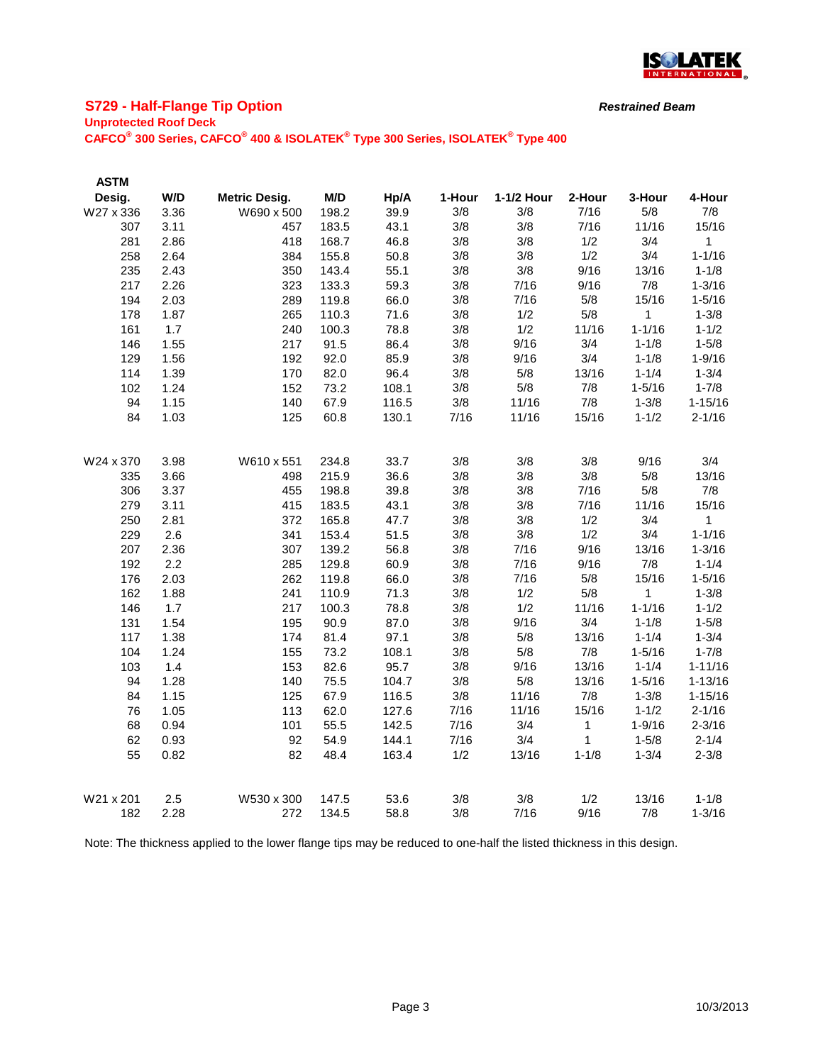

# **S729 - Half-Flange Tip Option**

### **Unprotected Roof Deck**

**CAFCO® 300 Series, CAFCO® 400 & ISOLATEK® Type 300 Series, ISOLATEK® Type 400**

| <b>ASTM</b> |      |                      |       |       |        |            |           |            |              |
|-------------|------|----------------------|-------|-------|--------|------------|-----------|------------|--------------|
| Desig.      | W/D  | <b>Metric Desig.</b> | M/D   | Hp/A  | 1-Hour | 1-1/2 Hour | 2-Hour    | 3-Hour     | 4-Hour       |
| W27 x 336   | 3.36 | W690 x 500           | 198.2 | 39.9  | 3/8    | 3/8        | 7/16      | 5/8        | 7/8          |
| 307         | 3.11 | 457                  | 183.5 | 43.1  | 3/8    | 3/8        | 7/16      | 11/16      | 15/16        |
| 281         | 2.86 | 418                  | 168.7 | 46.8  | 3/8    | 3/8        | 1/2       | 3/4        | 1            |
| 258         | 2.64 | 384                  | 155.8 | 50.8  | 3/8    | 3/8        | 1/2       | 3/4        | $1 - 1/16$   |
| 235         | 2.43 | 350                  | 143.4 | 55.1  | 3/8    | 3/8        | 9/16      | 13/16      | $1 - 1/8$    |
| 217         | 2.26 | 323                  | 133.3 | 59.3  | 3/8    | 7/16       | 9/16      | 7/8        | $1 - 3/16$   |
| 194         | 2.03 | 289                  | 119.8 | 66.0  | 3/8    | 7/16       | 5/8       | 15/16      | $1 - 5/16$   |
| 178         | 1.87 | 265                  | 110.3 | 71.6  | 3/8    | 1/2        | 5/8       | 1          | $1 - 3/8$    |
| 161         | 1.7  | 240                  | 100.3 | 78.8  | 3/8    | 1/2        | 11/16     | $1 - 1/16$ | $1 - 1/2$    |
| 146         | 1.55 | 217                  | 91.5  | 86.4  | 3/8    | 9/16       | 3/4       | $1 - 1/8$  | $1 - 5/8$    |
| 129         | 1.56 | 192                  | 92.0  | 85.9  | 3/8    | 9/16       | 3/4       | $1 - 1/8$  | $1 - 9/16$   |
| 114         | 1.39 | 170                  | 82.0  | 96.4  | 3/8    | 5/8        | 13/16     | $1 - 1/4$  | $1 - 3/4$    |
| 102         | 1.24 | 152                  | 73.2  | 108.1 | 3/8    | 5/8        | 7/8       | $1 - 5/16$ | $1 - 7/8$    |
| 94          | 1.15 | 140                  | 67.9  | 116.5 | 3/8    | 11/16      | 7/8       | $1 - 3/8$  | $1 - 15/16$  |
| 84          | 1.03 | 125                  | 60.8  | 130.1 | 7/16   | 11/16      | 15/16     | $1 - 1/2$  | $2 - 1/16$   |
| W24 x 370   | 3.98 | W610 x 551           | 234.8 | 33.7  | 3/8    | 3/8        | 3/8       | 9/16       | 3/4          |
| 335         | 3.66 | 498                  | 215.9 | 36.6  | 3/8    | 3/8        | 3/8       | 5/8        | 13/16        |
| 306         | 3.37 | 455                  | 198.8 | 39.8  | 3/8    | 3/8        | 7/16      | 5/8        | 7/8          |
| 279         | 3.11 | 415                  | 183.5 | 43.1  | 3/8    | 3/8        | 7/16      | 11/16      | 15/16        |
| 250         | 2.81 | 372                  | 165.8 | 47.7  | 3/8    | 3/8        | 1/2       | 3/4        | $\mathbf{1}$ |
| 229         | 2.6  | 341                  | 153.4 | 51.5  | 3/8    | 3/8        | 1/2       | 3/4        | $1 - 1/16$   |
| 207         | 2.36 | 307                  | 139.2 | 56.8  | 3/8    | 7/16       | 9/16      | 13/16      | $1 - 3/16$   |
| 192         | 2.2  | 285                  | 129.8 | 60.9  | 3/8    | 7/16       | 9/16      | 7/8        | $1 - 1/4$    |
| 176         | 2.03 | 262                  | 119.8 | 66.0  | 3/8    | 7/16       | 5/8       | 15/16      | $1 - 5/16$   |
| 162         | 1.88 | 241                  | 110.9 | 71.3  | 3/8    | 1/2        | 5/8       | 1          | $1 - 3/8$    |
| 146         | 1.7  | 217                  | 100.3 | 78.8  | 3/8    | 1/2        | 11/16     | $1 - 1/16$ | $1 - 1/2$    |
| 131         | 1.54 | 195                  | 90.9  | 87.0  | 3/8    | 9/16       | 3/4       | $1 - 1/8$  | $1 - 5/8$    |
| 117         | 1.38 | 174                  | 81.4  | 97.1  | 3/8    | 5/8        | 13/16     | $1 - 1/4$  | $1 - 3/4$    |
| 104         | 1.24 | 155                  | 73.2  | 108.1 | 3/8    | 5/8        | 7/8       | $1 - 5/16$ | $1 - 7/8$    |
| 103         | 1.4  | 153                  | 82.6  | 95.7  | 3/8    | 9/16       | 13/16     | $1 - 1/4$  | $1 - 11/16$  |
| 94          | 1.28 | 140                  | 75.5  | 104.7 | 3/8    | 5/8        | 13/16     | $1 - 5/16$ | $1 - 13/16$  |
| 84          | 1.15 | 125                  | 67.9  | 116.5 | 3/8    | 11/16      | 7/8       | $1 - 3/8$  | $1 - 15/16$  |
| 76          | 1.05 | 113                  | 62.0  | 127.6 | 7/16   | 11/16      | 15/16     | $1 - 1/2$  | $2 - 1/16$   |
| 68          | 0.94 | 101                  | 55.5  | 142.5 | 7/16   | 3/4        | 1         | $1 - 9/16$ | $2 - 3/16$   |
| 62          | 0.93 | 92                   | 54.9  | 144.1 | 7/16   | 3/4        | 1         | $1 - 5/8$  | $2 - 1/4$    |
| 55          | 0.82 | 82                   | 48.4  | 163.4 | 1/2    | 13/16      | $1 - 1/8$ | $1 - 3/4$  | $2 - 3/8$    |
| W21 x 201   | 2.5  | W530 x 300           | 147.5 | 53.6  | 3/8    | 3/8        | 1/2       | 13/16      | $1 - 1/8$    |
| 182         | 2.28 | 272                  | 134.5 | 58.8  | 3/8    | 7/16       | 9/16      | 7/8        | $1 - 3/16$   |

Note: The thickness applied to the lower flange tips may be reduced to one-half the listed thickness in this design.

*Restrained Beam*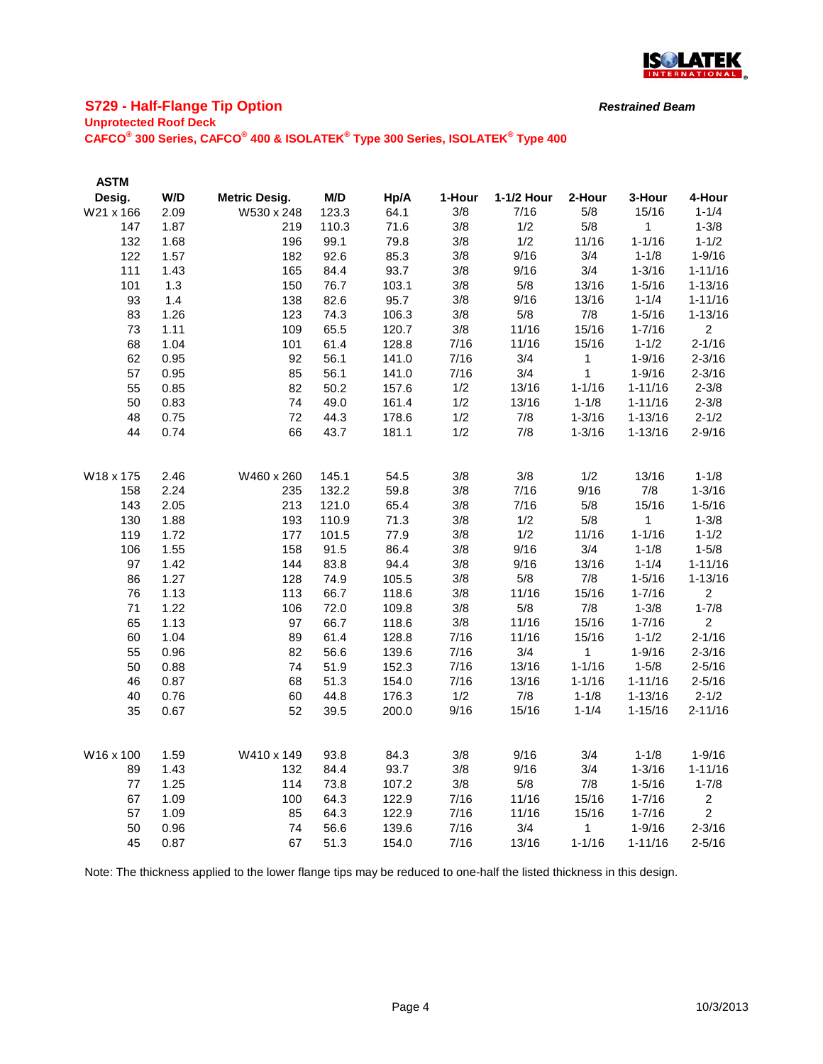

# **S729 - Half-Flange Tip Option**

### **Unprotected Roof Deck**

**CAFCO® 300 Series, CAFCO® 400 & ISOLATEK® Type 300 Series, ISOLATEK® Type 400**

| <b>ASTM</b> |              |                      |              |       |        |            |              |                         |                |
|-------------|--------------|----------------------|--------------|-------|--------|------------|--------------|-------------------------|----------------|
| Desig.      | W/D          | <b>Metric Desig.</b> | M/D          | Hp/A  | 1-Hour | 1-1/2 Hour | 2-Hour       | 3-Hour                  | 4-Hour         |
| W21 x 166   | 2.09         | W530 x 248           | 123.3        | 64.1  | 3/8    | 7/16       | 5/8          | 15/16                   | $1 - 1/4$      |
| 147         | 1.87         | 219                  | 110.3        | 71.6  | 3/8    | 1/2        | 5/8          | 1                       | $1 - 3/8$      |
| 132         | 1.68         | 196                  | 99.1         | 79.8  | 3/8    | 1/2        | 11/16        | $1 - 1/16$              | $1 - 1/2$      |
| 122         | 1.57         | 182                  | 92.6         | 85.3  | 3/8    | 9/16       | 3/4          | $1 - 1/8$               | $1 - 9/16$     |
| 111         | 1.43         | 165                  | 84.4         | 93.7  | 3/8    | 9/16       | 3/4          | $1 - 3/16$              | $1 - 11/16$    |
| 101         | 1.3          | 150                  | 76.7         | 103.1 | 3/8    | 5/8        | 13/16        | $1 - 5/16$              | $1 - 13/16$    |
| 93          | 1.4          | 138                  | 82.6         | 95.7  | 3/8    | 9/16       | 13/16        | $1 - 1/4$               | $1 - 11/16$    |
| 83          | 1.26         | 123                  | 74.3         | 106.3 | 3/8    | 5/8        | 7/8          | $1 - 5/16$              | $1 - 13/16$    |
| 73          | 1.11         | 109                  | 65.5         | 120.7 | 3/8    | 11/16      | 15/16        | $1 - 7/16$              | $\overline{2}$ |
| 68          | 1.04         | 101                  | 61.4         | 128.8 | 7/16   | 11/16      | 15/16        | $1 - 1/2$               | $2 - 1/16$     |
| 62          | 0.95         | 92                   | 56.1         | 141.0 | 7/16   | 3/4        | 1            | $1 - 9/16$              | $2 - 3/16$     |
| 57          | 0.95         | 85                   | 56.1         | 141.0 | 7/16   | 3/4        | $\mathbf{1}$ | $1 - 9/16$              | $2 - 3/16$     |
| 55          | 0.85         | 82                   | 50.2         | 157.6 | 1/2    | 13/16      | $1 - 1/16$   | $1 - 11/16$             | $2 - 3/8$      |
| 50          | 0.83         | 74                   | 49.0         | 161.4 | 1/2    | 13/16      | $1 - 1/8$    | $1 - 11/16$             | $2 - 3/8$      |
| 48          | 0.75         | 72                   | 44.3         | 178.6 | 1/2    | 7/8        | $1 - 3/16$   | $1 - 13/16$             | $2 - 1/2$      |
| 44          | 0.74         | 66                   | 43.7         | 181.1 | 1/2    | 7/8        | $1 - 3/16$   | $1 - 13/16$             | $2 - 9/16$     |
| W18 x 175   | 2.46         | W460 x 260           | 145.1        | 54.5  | 3/8    | 3/8        | 1/2          | 13/16                   | $1 - 1/8$      |
| 158         | 2.24         | 235                  | 132.2        | 59.8  | 3/8    | 7/16       | 9/16         | 7/8                     | $1 - 3/16$     |
| 143         | 2.05         | 213                  | 121.0        | 65.4  | 3/8    | 7/16       | 5/8          | 15/16                   | $1 - 5/16$     |
| 130         | 1.88         | 193                  | 110.9        | 71.3  | 3/8    | 1/2        | 5/8          | 1                       | $1 - 3/8$      |
| 119         | 1.72         | 177                  | 101.5        | 77.9  | 3/8    | 1/2        | 11/16        | $1 - 1/16$              | $1 - 1/2$      |
| 106         | 1.55         | 158                  | 91.5         | 86.4  | 3/8    | 9/16       | 3/4          | $1 - 1/8$               | $1 - 5/8$      |
| 97          | 1.42         | 144                  | 83.8         | 94.4  | 3/8    | 9/16       | 13/16        | $1 - 1/4$               | $1 - 11/16$    |
| 86          | 1.27         | 128                  | 74.9         | 105.5 | 3/8    | 5/8        | 7/8          | $1 - 5/16$              | $1 - 13/16$    |
| 76          | 1.13         | 113                  | 66.7         | 118.6 | 3/8    | 11/16      | 15/16        | $1 - 7/16$              | $\overline{2}$ |
| 71          | 1.22         | 106                  | 72.0         | 109.8 | 3/8    | 5/8        | 7/8          | $1 - 3/8$               | $1 - 7/8$      |
| 65          | 1.13         | 97                   | 66.7         | 118.6 | 3/8    | 11/16      | 15/16        | $1 - 7/16$              | $\overline{2}$ |
| 60          | 1.04         | 89                   | 61.4         | 128.8 | 7/16   | 11/16      | 15/16        | $1 - 1/2$               | $2 - 1/16$     |
| 55          | 0.96         | 82                   | 56.6         | 139.6 | 7/16   | 3/4        | 1            | $1 - 9/16$              | $2 - 3/16$     |
| 50          | 0.88         | 74                   | 51.9         | 152.3 | 7/16   | 13/16      | $1 - 1/16$   | $1 - 5/8$               | $2 - 5/16$     |
| 46          | 0.87         | 68                   | 51.3         | 154.0 | 7/16   | 13/16      | $1 - 1/16$   | $1 - 11/16$             | $2 - 5/16$     |
| 40          | 0.76         | 60                   | 44.8         | 176.3 | 1/2    | 7/8        | $1 - 1/8$    | $1 - 13/16$             | $2 - 1/2$      |
| 35          | 0.67         | 52                   | 39.5         | 200.0 | 9/16   | 15/16      | $1 - 1/4$    | $1 - 15/16$             | $2 - 11/16$    |
| W16 x 100   |              | W410 x 149           |              | 84.3  | 3/8    | 9/16       | 3/4          |                         | $1 - 9/16$     |
| 89          | 1.59<br>1.43 | 132                  | 93.8<br>84.4 | 93.7  | 3/8    | 9/16       | 3/4          | $1 - 1/8$<br>$1 - 3/16$ | $1 - 11/16$    |
| 77          | 1.25         | 114                  | 73.8         | 107.2 | 3/8    | 5/8        | 7/8          | $1 - 5/16$              | $1 - 7/8$      |
| 67          | 1.09         | 100                  | 64.3         | 122.9 | 7/16   | 11/16      | 15/16        | $1 - 7/16$              | $\overline{2}$ |
| 57          | 1.09         | 85                   | 64.3         | 122.9 | 7/16   | 11/16      | 15/16        | $1 - 7/16$              | $\overline{2}$ |
| 50          | 0.96         | 74                   | 56.6         | 139.6 | 7/16   | 3/4        | 1            | $1 - 9/16$              | $2 - 3/16$     |
| 45          | 0.87         | 67                   | 51.3         | 154.0 | 7/16   | 13/16      | $1 - 1/16$   | $1 - 11/16$             | $2 - 5/16$     |
|             |              |                      |              |       |        |            |              |                         |                |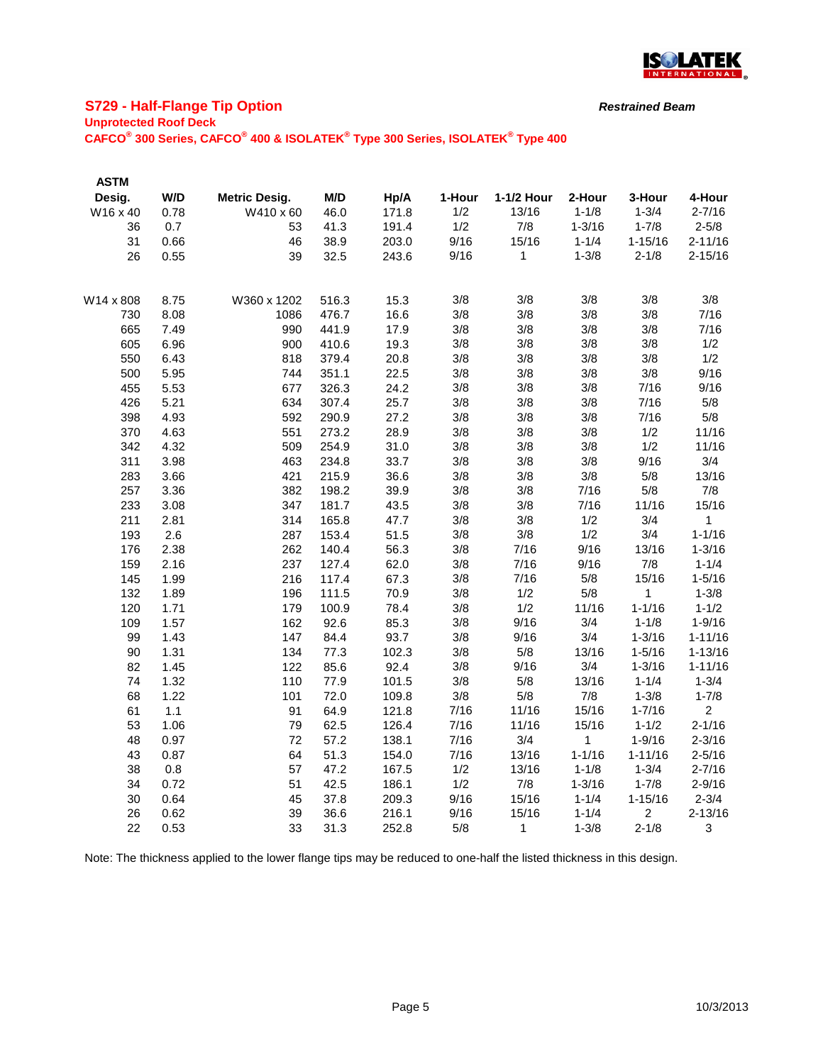

# **S729 - Half-Flange Tip Option**

### **Unprotected Roof Deck**

**CAFCO® 300 Series, CAFCO® 400 & ISOLATEK® Type 300 Series, ISOLATEK® Type 400**

| <b>ASTM</b> |      |                      |       |       |        |              |            |                |                |
|-------------|------|----------------------|-------|-------|--------|--------------|------------|----------------|----------------|
| Desig.      | W/D  | <b>Metric Desig.</b> | M/D   | Hp/A  | 1-Hour | 1-1/2 Hour   | 2-Hour     | 3-Hour         | 4-Hour         |
| W16 x 40    | 0.78 | W410 x 60            | 46.0  | 171.8 | 1/2    | 13/16        | $1 - 1/8$  | $1 - 3/4$      | $2 - 7/16$     |
| 36          | 0.7  | 53                   | 41.3  | 191.4 | 1/2    | 7/8          | $1 - 3/16$ | $1 - 7/8$      | $2 - 5/8$      |
| 31          | 0.66 | 46                   | 38.9  | 203.0 | 9/16   | 15/16        | $1 - 1/4$  | $1 - 15/16$    | $2 - 11/16$    |
| 26          | 0.55 | 39                   | 32.5  | 243.6 | 9/16   | 1            | $1 - 3/8$  | $2 - 1/8$      | $2 - 15/16$    |
|             |      |                      |       |       |        |              |            |                |                |
| W14 x 808   | 8.75 | W360 x 1202          | 516.3 | 15.3  | 3/8    | 3/8          | 3/8        | 3/8            | 3/8            |
| 730         | 8.08 | 1086                 | 476.7 | 16.6  | 3/8    | 3/8          | 3/8        | 3/8            | 7/16           |
| 665         | 7.49 | 990                  | 441.9 | 17.9  | 3/8    | 3/8          | 3/8        | 3/8            | 7/16           |
| 605         | 6.96 | 900                  | 410.6 | 19.3  | 3/8    | 3/8          | 3/8        | 3/8            | 1/2            |
| 550         | 6.43 | 818                  | 379.4 | 20.8  | 3/8    | 3/8          | 3/8        | 3/8            | 1/2            |
| 500         | 5.95 | 744                  | 351.1 | 22.5  | 3/8    | 3/8          | 3/8        | 3/8            | 9/16           |
| 455         | 5.53 | 677                  | 326.3 | 24.2  | 3/8    | 3/8          | 3/8        | 7/16           | 9/16           |
| 426         | 5.21 | 634                  | 307.4 | 25.7  | 3/8    | 3/8          | 3/8        | 7/16           | 5/8            |
| 398         | 4.93 | 592                  | 290.9 | 27.2  | 3/8    | 3/8          | 3/8        | 7/16           | 5/8            |
| 370         | 4.63 | 551                  | 273.2 | 28.9  | 3/8    | 3/8          | 3/8        | 1/2            | 11/16          |
| 342         | 4.32 | 509                  | 254.9 | 31.0  | 3/8    | 3/8          | 3/8        | 1/2            | 11/16          |
| 311         | 3.98 | 463                  | 234.8 | 33.7  | 3/8    | 3/8          | 3/8        | 9/16           | 3/4            |
| 283         | 3.66 | 421                  | 215.9 | 36.6  | 3/8    | 3/8          | 3/8        | 5/8            | 13/16          |
| 257         | 3.36 | 382                  | 198.2 | 39.9  | 3/8    | 3/8          | 7/16       | 5/8            | 7/8            |
| 233         | 3.08 | 347                  | 181.7 | 43.5  | 3/8    | 3/8          | 7/16       | 11/16          | 15/16          |
| 211         | 2.81 | 314                  | 165.8 | 47.7  | 3/8    | 3/8          | 1/2        | 3/4            | 1              |
| 193         | 2.6  | 287                  | 153.4 | 51.5  | 3/8    | 3/8          | 1/2        | 3/4            | $1 - 1/16$     |
| 176         | 2.38 | 262                  | 140.4 | 56.3  | 3/8    | 7/16         | 9/16       | 13/16          | $1 - 3/16$     |
| 159         | 2.16 | 237                  | 127.4 | 62.0  | 3/8    | 7/16         | 9/16       | 7/8            | $1 - 1/4$      |
| 145         | 1.99 | 216                  | 117.4 | 67.3  | 3/8    | 7/16         | 5/8        | 15/16          | $1 - 5/16$     |
| 132         | 1.89 | 196                  | 111.5 | 70.9  | 3/8    | 1/2          | 5/8        | 1              | $1 - 3/8$      |
| 120         | 1.71 | 179                  | 100.9 | 78.4  | 3/8    | 1/2          | 11/16      | $1 - 1/16$     | $1 - 1/2$      |
| 109         | 1.57 | 162                  | 92.6  | 85.3  | 3/8    | 9/16         | 3/4        | $1 - 1/8$      | $1 - 9/16$     |
| 99          | 1.43 | 147                  | 84.4  | 93.7  | 3/8    | 9/16         | 3/4        | $1 - 3/16$     | $1 - 11/16$    |
| 90          | 1.31 | 134                  | 77.3  | 102.3 | 3/8    | 5/8          | 13/16      | $1 - 5/16$     | $1 - 13/16$    |
| 82          | 1.45 | 122                  | 85.6  | 92.4  | 3/8    | 9/16         | 3/4        | $1 - 3/16$     | $1 - 11/16$    |
| 74          | 1.32 | 110                  | 77.9  | 101.5 | 3/8    | 5/8          | 13/16      | $1 - 1/4$      | $1 - 3/4$      |
| 68          | 1.22 | 101                  | 72.0  | 109.8 | 3/8    | 5/8          | 7/8        | $1 - 3/8$      | $1 - 7/8$      |
| 61          | 1.1  | 91                   | 64.9  | 121.8 | 7/16   | 11/16        | 15/16      | $1 - 7/16$     | $\overline{2}$ |
| 53          | 1.06 | 79                   | 62.5  | 126.4 | 7/16   | 11/16        | 15/16      | $1 - 1/2$      | $2 - 1/16$     |
| 48          | 0.97 | 72                   | 57.2  | 138.1 | 7/16   | 3/4          | 1          | $1 - 9/16$     | $2 - 3/16$     |
| 43          | 0.87 | 64                   | 51.3  | 154.0 | 7/16   | 13/16        | $1 - 1/16$ | $1 - 11/16$    | $2 - 5/16$     |
| 38          | 0.8  | 57                   | 47.2  | 167.5 | 1/2    | 13/16        | $1 - 1/8$  | $1 - 3/4$      | $2 - 7/16$     |
| 34          | 0.72 | 51                   | 42.5  | 186.1 | 1/2    | 7/8          | $1 - 3/16$ | $1 - 7/8$      | $2 - 9/16$     |
| 30          | 0.64 | 45                   | 37.8  | 209.3 | 9/16   | 15/16        | $1 - 1/4$  | $1 - 15/16$    | $2 - 3/4$      |
| 26          | 0.62 | 39                   | 36.6  | 216.1 | 9/16   | 15/16        | $1 - 1/4$  | $\overline{2}$ | $2 - 13/16$    |
| 22          | 0.53 | 33                   | 31.3  | 252.8 | 5/8    | $\mathbf{1}$ | $1 - 3/8$  | $2 - 1/8$      | 3              |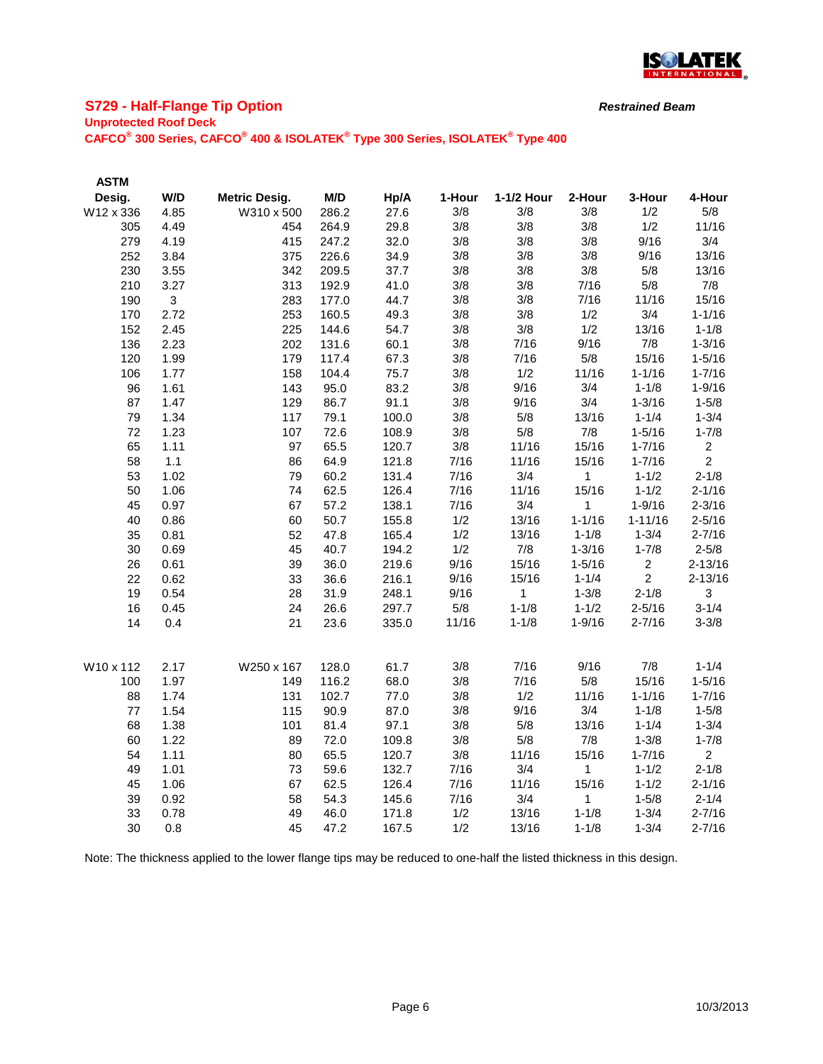

# **S729 - Half-Flange Tip Option**

### **Unprotected Roof Deck**

**CAFCO® 300 Series, CAFCO® 400 & ISOLATEK® Type 300 Series, ISOLATEK® Type 400**

| <b>ASTM</b> |              |                      |       |       |        |              |              |                |                |
|-------------|--------------|----------------------|-------|-------|--------|--------------|--------------|----------------|----------------|
| Desig.      | W/D          | <b>Metric Desig.</b> | M/D   | Hp/A  | 1-Hour | 1-1/2 Hour   | 2-Hour       | 3-Hour         | 4-Hour         |
| W12 x 336   | 4.85         | W310 x 500           | 286.2 | 27.6  | 3/8    | 3/8          | 3/8          | 1/2            | 5/8            |
| 305         | 4.49         | 454                  | 264.9 | 29.8  | 3/8    | 3/8          | 3/8          | 1/2            | 11/16          |
| 279         | 4.19         | 415                  | 247.2 | 32.0  | 3/8    | 3/8          | 3/8          | 9/16           | 3/4            |
| 252         | 3.84         | 375                  | 226.6 | 34.9  | 3/8    | 3/8          | 3/8          | 9/16           | 13/16          |
| 230         | 3.55         | 342                  | 209.5 | 37.7  | 3/8    | 3/8          | 3/8          | 5/8            | 13/16          |
| 210         | 3.27         | 313                  | 192.9 | 41.0  | 3/8    | 3/8          | 7/16         | $5/8$          | 7/8            |
| 190         | $\mathbf{3}$ | 283                  | 177.0 | 44.7  | 3/8    | 3/8          | 7/16         | 11/16          | 15/16          |
| 170         | 2.72         | 253                  | 160.5 | 49.3  | 3/8    | 3/8          | 1/2          | 3/4            | $1 - 1/16$     |
| 152         | 2.45         | 225                  | 144.6 | 54.7  | 3/8    | 3/8          | 1/2          | 13/16          | $1 - 1/8$      |
| 136         | 2.23         | 202                  | 131.6 | 60.1  | 3/8    | 7/16         | 9/16         | 7/8            | $1 - 3/16$     |
| 120         | 1.99         | 179                  | 117.4 | 67.3  | 3/8    | 7/16         | 5/8          | 15/16          | $1 - 5/16$     |
| 106         | 1.77         | 158                  | 104.4 | 75.7  | 3/8    | 1/2          | 11/16        | $1 - 1/16$     | $1 - 7/16$     |
| 96          | 1.61         | 143                  | 95.0  | 83.2  | 3/8    | 9/16         | 3/4          | $1 - 1/8$      | $1 - 9/16$     |
| 87          | 1.47         | 129                  | 86.7  | 91.1  | 3/8    | 9/16         | 3/4          | $1 - 3/16$     | $1 - 5/8$      |
| 79          | 1.34         | 117                  | 79.1  | 100.0 | 3/8    | 5/8          | 13/16        | $1 - 1/4$      | $1 - 3/4$      |
| 72          | 1.23         | 107                  | 72.6  | 108.9 | 3/8    | 5/8          | 7/8          | $1 - 5/16$     | $1 - 7/8$      |
| 65          | 1.11         | 97                   | 65.5  | 120.7 | 3/8    | 11/16        | 15/16        | $1 - 7/16$     | $\overline{2}$ |
| 58          | 1.1          | 86                   | 64.9  | 121.8 | 7/16   | 11/16        | 15/16        | $1 - 7/16$     | $\overline{2}$ |
| 53          | 1.02         | 79                   | 60.2  | 131.4 | 7/16   | 3/4          | $\mathbf{1}$ | $1 - 1/2$      | $2 - 1/8$      |
| 50          | 1.06         | 74                   | 62.5  | 126.4 | 7/16   | 11/16        | 15/16        | $1 - 1/2$      | $2 - 1/16$     |
| 45          | 0.97         | 67                   | 57.2  | 138.1 | 7/16   | 3/4          | $\mathbf{1}$ | $1 - 9/16$     | $2 - 3/16$     |
| 40          | 0.86         | 60                   | 50.7  | 155.8 | 1/2    | 13/16        | $1 - 1/16$   | $1 - 11/16$    | $2 - 5/16$     |
| 35          | 0.81         | 52                   | 47.8  | 165.4 | 1/2    | 13/16        | $1 - 1/8$    | $1 - 3/4$      | $2 - 7/16$     |
| 30          | 0.69         | 45                   | 40.7  | 194.2 | 1/2    | 7/8          | $1 - 3/16$   | $1 - 7/8$      | $2 - 5/8$      |
| 26          | 0.61         | 39                   | 36.0  | 219.6 | 9/16   | 15/16        | $1 - 5/16$   | $\overline{2}$ | $2 - 13/16$    |
| 22          | 0.62         | 33                   | 36.6  | 216.1 | 9/16   | 15/16        | $1 - 1/4$    | 2              | $2 - 13/16$    |
| 19          | 0.54         | 28                   | 31.9  | 248.1 | 9/16   | $\mathbf{1}$ | $1 - 3/8$    | $2 - 1/8$      | 3              |
| 16          | 0.45         | 24                   | 26.6  | 297.7 | 5/8    | $1 - 1/8$    | $1 - 1/2$    | $2 - 5/16$     | $3 - 1/4$      |
| 14          | 0.4          | 21                   | 23.6  | 335.0 | 11/16  | $1 - 1/8$    | $1 - 9/16$   | $2 - 7/16$     | $3 - 3/8$      |
| W10 x 112   | 2.17         | W250 x 167           | 128.0 | 61.7  | 3/8    | 7/16         | 9/16         | 7/8            | $1 - 1/4$      |
| 100         | 1.97         | 149                  | 116.2 | 68.0  | 3/8    | 7/16         | 5/8          | 15/16          | $1 - 5/16$     |
| 88          | 1.74         | 131                  | 102.7 | 77.0  | 3/8    | 1/2          | 11/16        | $1 - 1/16$     | $1 - 7/16$     |
| $77\,$      | 1.54         | 115                  | 90.9  | 87.0  | 3/8    | 9/16         | 3/4          | $1 - 1/8$      | $1 - 5/8$      |
| 68          | 1.38         | 101                  | 81.4  | 97.1  | 3/8    | 5/8          | 13/16        | $1 - 1/4$      | $1 - 3/4$      |
| 60          | 1.22         | 89                   | 72.0  | 109.8 | 3/8    | $5/8$        | 7/8          | $1 - 3/8$      | $1 - 7/8$      |
| 54          | 1.11         | 80                   | 65.5  | 120.7 | 3/8    | 11/16        | 15/16        | $1 - 7/16$     | $\overline{2}$ |
| 49          | 1.01         | 73                   | 59.6  | 132.7 | 7/16   | 3/4          | 1            | $1 - 1/2$      | $2 - 1/8$      |
| 45          | 1.06         | 67                   | 62.5  | 126.4 | 7/16   | 11/16        | 15/16        | $1 - 1/2$      | $2 - 1/16$     |
| 39          | 0.92         | 58                   | 54.3  | 145.6 | 7/16   | 3/4          | 1            | $1 - 5/8$      | $2 - 1/4$      |
| 33          | 0.78         | 49                   | 46.0  | 171.8 | 1/2    | 13/16        | $1 - 1/8$    | $1 - 3/4$      | $2 - 7/16$     |
| 30          | 0.8          | 45                   | 47.2  | 167.5 | 1/2    | 13/16        | $1 - 1/8$    | $1 - 3/4$      | $2 - 7/16$     |